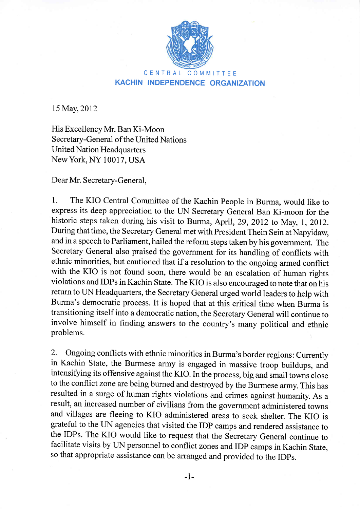

## CENTRAL COMMITTEE KACHIN INDEPENDENCE ORGANIZATION

15 May, 2012

His Excellency Mr. Ban Ki-Moon Secretary-General of the United Nations **United Nation Headquarters** NewYork, NY 10017, USA

Dear Mr. Secretary-General,

1. The KIO Central Committee of the Kachin People in Burma, would like to express its deep appreciation to the UN Secretary General Ban Ki-moon for the historic steps taken during his visit to Burma, April, 29,2Ol2 to May, l,2OI2. During that time, the Secretary General met with President Thein Sein at Napyidaw, and in a speech to Parliament, hailed the reform steps taken by his government. The Secretary General also praised the government for its handling of conflicts with ethnic minorities, but cautioned that if a resolution to the ongoing armed conflict with the KIO is not found soon, there would be an escalation of human rights violations and IDPs in Kachin State. The KIO is also encouraged to note that on his return to UN Headquarters, the Secretary General urged world leaders to help with Burma's democratic process. It is hoped that at this critical time when Burma is transitioning itself into a democratic nation, the Secretary General will continue to involve himself in finding answers to the country's many political and ethnic problems. !

2. Ongoing conflicts with ethnic minorities in Burma's border regions: Currently in Kachin State, the Burmese army is engaged in massive troop buildups, and intensifying its offensive against the KIO. In the process, big and small towns close to the conflict zone are being burned and destroyed by the Burmese anny. This has resulted in a surge of human rights violations and crimes against humanity. As <sup>a</sup> result, an increased number of civilians from the government administered towns and villages are fleeing to KIO administered areas to seek shelter. The KIO is grateful to the UN agencies that visited the IDP camps and rendered assistance to the IDPs. The KIO would like to request that the Secretary General continue to facilitate visits by UN personnel to conflict zones and IDP camps in Kachin State, so that appropriate assistance can be arranged and provided to the IDPs.